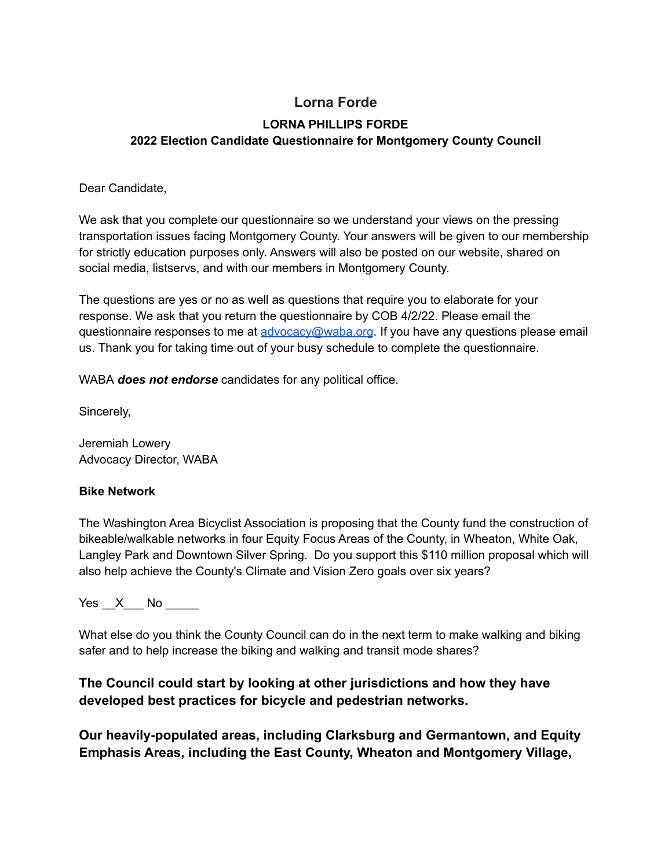# **Lorna Forde LORNA PHILLIPS FORDE**

## **2022 Election Candidate Questionnaire for Montgomery County Council**

### Dear Candidate,

We ask that you complete our questionnaire so we understand your views on the pressing transportation issues facing Montgomery County. Your answers will be given to our membership for strictly education purposes only. Answers will also be posted on our website, shared on social media, listservs, and with our members in Montgomery County.

The questions are yes or no as well as questions that require you to elaborate for your response. We ask that you return the questionnaire by COB 4/2/22. Please email the questionnaire responses to me at [advocacy@waba.org](mailto:advocacy@waba.org). If you have any questions please email us. Thank you for taking time out of your busy schedule to complete the questionnaire.

WABA *does not endorse* candidates for any political office.

Sincerely,

Jeremiah Lowery Advocacy Director, WABA

### **Bike Network**

The Washington Area Bicyclist Association is proposing that the County fund the construction of bikeable/walkable networks in four Equity Focus Areas of the County, in Wheaton, White Oak, Langley Park and Downtown Silver Spring. Do you support this \$110 million proposal which will also help achieve the County's Climate and Vision Zero goals over six years?

Yes  $X$  No  $\blacksquare$ 

What else do you think the County Council can do in the next term to make walking and biking safer and to help increase the biking and walking and transit mode shares?

## **The Council could start by looking at other jurisdictions and how they have developed best practices for bicycle and pedestrian networks.**

**Our heavily-populated areas, including Clarksburg and Germantown, and Equity Emphasis Areas, including the East County, Wheaton and Montgomery Village,**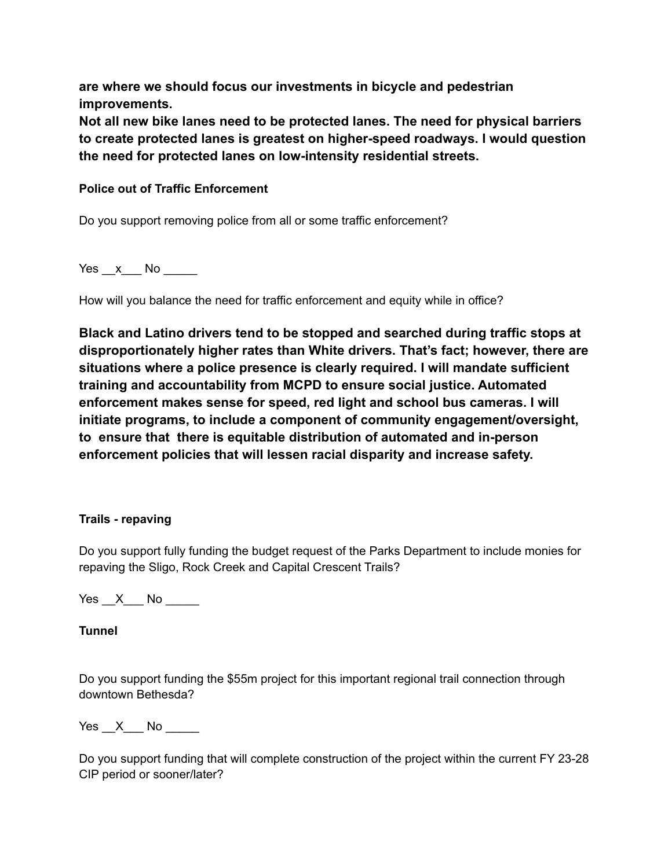**are where we should focus our investments in bicycle and pedestrian improvements.**

**Not all new bike lanes need to be protected lanes. The need for physical barriers to create protected lanes is greatest on higher-speed roadways. I would question the need for protected lanes on low-intensity residential streets.**

### **Police out of Traffic Enforcement**

Do you support removing police from all or some traffic enforcement?

 $Yes \_\ x \_\$  No  $\_\_\_\$ 

How will you balance the need for traffic enforcement and equity while in office?

**Black and Latino drivers tend to be stopped and searched during traffic stops at disproportionately higher rates than White drivers. That's fact; however, there are situations where a police presence is clearly required. I will mandate sufficient training and accountability from MCPD to ensure social justice. Automated enforcement makes sense for speed, red light and school bus cameras. I will initiate programs, to include a component of community engagement/oversight, to ensure that there is equitable distribution of automated and in-person enforcement policies that will lessen racial disparity and increase safety.**

### **Trails - repaving**

Do you support fully funding the budget request of the Parks Department to include monies for repaving the Sligo, Rock Creek and Capital Crescent Trails?

Yes \_\_X\_\_\_ No \_\_\_\_\_

## **Tunnel**

Do you support funding the \$55m project for this important regional trail connection through downtown Bethesda?

Yes \_\_X\_\_\_ No \_\_\_\_\_

Do you support funding that will complete construction of the project within the current FY 23-28 CIP period or sooner/later?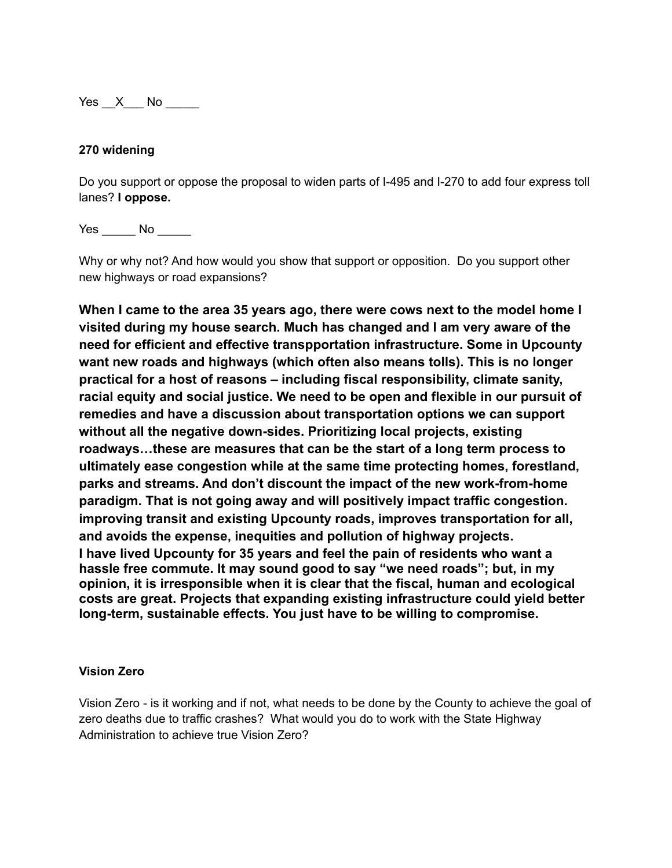Yes X No  $\blacksquare$ 

### **270 widening**

Do you support or oppose the proposal to widen parts of I-495 and I-270 to add four express toll lanes? **I oppose.**

Yes No No

Why or why not? And how would you show that support or opposition. Do you support other new highways or road expansions?

**When I came to the area 35 years ago, there were cows next to the model home I visited during my house search. Much has changed and I am very aware of the need for efficient and effective transpportation infrastructure. Some in Upcounty want new roads and highways (which often also means tolls). This is no longer practical for a host of reasons – including fiscal responsibility, climate sanity, racial equity and social justice. We need to be open and flexible in our pursuit of remedies and have a discussion about transportation options we can support without all the negative down-sides. Prioritizing local projects, existing roadways…these are measures that can be the start of a long term process to ultimately ease congestion while at the same time protecting homes, forestland, parks and streams. And don't discount the impact of the new work-from-home paradigm. That is not going away and will positively impact traffic congestion. improving transit and existing Upcounty roads, improves transportation for all, and avoids the expense, inequities and pollution of highway projects. I have lived Upcounty for 35 years and feel the pain of residents who want a hassle free commute. It may sound good to say "we need roads"; but, in my opinion, it is irresponsible when it is clear that the fiscal, human and ecological costs are great. Projects that expanding existing infrastructure could yield better long-term, sustainable effects. You just have to be willing to compromise.**

#### **Vision Zero**

Vision Zero - is it working and if not, what needs to be done by the County to achieve the goal of zero deaths due to traffic crashes? What would you do to work with the State Highway Administration to achieve true Vision Zero?